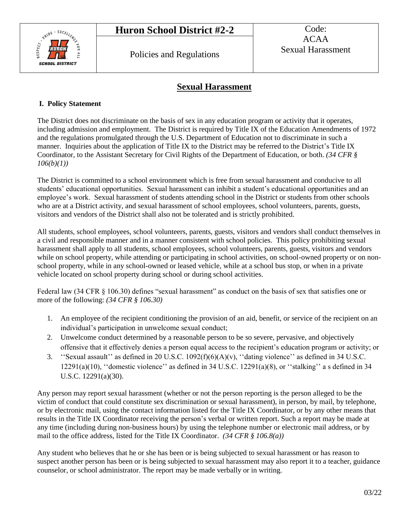

# **Sexual Harassment**

#### **I. Policy Statement**

The District does not discriminate on the basis of sex in any education program or activity that it operates, including admission and employment. The District is required by Title IX of the Education Amendments of 1972 and the regulations promulgated through the U.S. Department of Education not to discriminate in such a manner. Inquiries about the application of Title IX to the District may be referred to the District's Title IX Coordinator, to the Assistant Secretary for Civil Rights of the Department of Education, or both. *(34 CFR § 106(b)(1))*

The District is committed to a school environment which is free from sexual harassment and conducive to all students' educational opportunities. Sexual harassment can inhibit a student's educational opportunities and an employee's work. Sexual harassment of students attending school in the District or students from other schools who are at a District activity, and sexual harassment of school employees, school volunteers, parents, guests, visitors and vendors of the District shall also not be tolerated and is strictly prohibited.

All students, school employees, school volunteers, parents, guests, visitors and vendors shall conduct themselves in a civil and responsible manner and in a manner consistent with school policies. This policy prohibiting sexual harassment shall apply to all students, school employees, school volunteers, parents, guests, visitors and vendors while on school property, while attending or participating in school activities, on school-owned property or on nonschool property, while in any school-owned or leased vehicle, while at a school bus stop, or when in a private vehicle located on school property during school or during school activities.

Federal law (34 CFR § 106.30) defines "sexual harassment" as conduct on the basis of sex that satisfies one or more of the following: *(34 CFR § 106.30)*

- 1. An employee of the recipient conditioning the provision of an aid, benefit, or service of the recipient on an individual's participation in unwelcome sexual conduct;
- 2. Unwelcome conduct determined by a reasonable person to be so severe, pervasive, and objectively offensive that it effectively denies a person equal access to the recipient's education program or activity; or
- 3. ''Sexual assault'' as defined in 20 U.S.C. 1092(f)(6)(A)(v), ''dating violence'' as defined in 34 U.S.C.  $12291(a)(10)$ , "domestic violence" as defined in 34 U.S.C.  $12291(a)(8)$ , or "stalking" a s defined in 34 U.S.C. 12291(a)(30).

Any person may report sexual harassment (whether or not the person reporting is the person alleged to be the victim of conduct that could constitute sex discrimination or sexual harassment), in person, by mail, by telephone, or by electronic mail, using the contact information listed for the Title IX Coordinator, or by any other means that results in the Title IX Coordinator receiving the person's verbal or written report. Such a report may be made at any time (including during non-business hours) by using the telephone number or electronic mail address, or by mail to the office address, listed for the Title IX Coordinator. *(34 CFR § 106.8(a))*

Any student who believes that he or she has been or is being subjected to sexual harassment or has reason to suspect another person has been or is being subjected to sexual harassment may also report it to a teacher, guidance counselor, or school administrator. The report may be made verbally or in writing.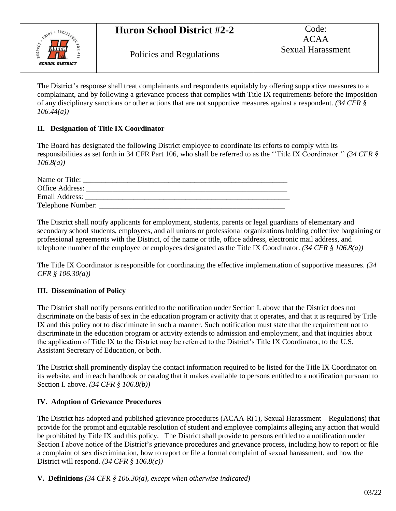

The District's response shall treat complainants and respondents equitably by offering supportive measures to a complainant, and by following a grievance process that complies with Title IX requirements before the imposition of any disciplinary sanctions or other actions that are not supportive measures against a respondent. *(34 CFR § 106.44(a))*

### **II. Designation of Title IX Coordinator**

The Board has designated the following District employee to coordinate its efforts to comply with its responsibilities as set forth in 34 CFR Part 106, who shall be referred to as the ''Title IX Coordinator.'' *(34 CFR § 106.8(a))*

| Name or Title:  |  |
|-----------------|--|
| Office Address: |  |
| Email Address:  |  |
|                 |  |

The District shall notify applicants for employment, students, parents or legal guardians of elementary and secondary school students, employees, and all unions or professional organizations holding collective bargaining or professional agreements with the District, of the name or title, office address, electronic mail address, and telephone number of the employee or employees designated as the Title IX Coordinator. *(34 CFR § 106.8(a))*

The Title IX Coordinator is responsible for coordinating the effective implementation of supportive measures. *(34 CFR § 106.30(a))*

# **III. Dissemination of Policy**

The District shall notify persons entitled to the notification under Section I. above that the District does not discriminate on the basis of sex in the education program or activity that it operates, and that it is required by Title IX and this policy not to discriminate in such a manner. Such notification must state that the requirement not to discriminate in the education program or activity extends to admission and employment, and that inquiries about the application of Title IX to the District may be referred to the District's Title IX Coordinator, to the U.S. Assistant Secretary of Education, or both.

The District shall prominently display the contact information required to be listed for the Title IX Coordinator on its website, and in each handbook or catalog that it makes available to persons entitled to a notification pursuant to Section I. above. *(34 CFR § 106.8(b))*

# **IV. Adoption of Grievance Procedures**

The District has adopted and published grievance procedures (ACAA-R(1), Sexual Harassment – Regulations) that provide for the prompt and equitable resolution of student and employee complaints alleging any action that would be prohibited by Title IX and this policy. The District shall provide to persons entitled to a notification under Section I above notice of the District's grievance procedures and grievance process, including how to report or file a complaint of sex discrimination, how to report or file a formal complaint of sexual harassment, and how the District will respond. *(34 CFR § 106.8(c))*

**V. Definitions** *(34 CFR § 106.30(a), except when otherwise indicated)*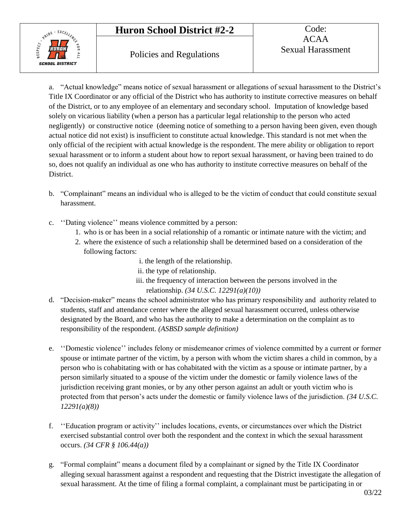# **Huron School District #2-2** Code:



a. "Actual knowledge" means notice of sexual harassment or allegations of sexual harassment to the District's Title IX Coordinator or any official of the District who has authority to institute corrective measures on behalf of the District, or to any employee of an elementary and secondary school.Imputation of knowledge based solely on vicarious liability (when a person has a particular legal relationship to the person who acted negligently) or constructive notice (deeming notice of something to a person having been given, even though actual notice did not exist) is insufficient to constitute actual knowledge. This standard is not met when the only official of the recipient with actual knowledge is the respondent. The mere ability or obligation to report sexual harassment or to inform a student about how to report sexual harassment, or having been trained to do so, does not qualify an individual as one who has authority to institute corrective measures on behalf of the District.

- b. "Complainant" means an individual who is alleged to be the victim of conduct that could constitute sexual harassment.
- c. ''Dating violence'' means violence committed by a person:
	- 1. who is or has been in a social relationship of a romantic or intimate nature with the victim; and
	- 2. where the existence of such a relationship shall be determined based on a consideration of the following factors:
		- i. the length of the relationship.
		- ii. the type of relationship.
		- iii. the frequency of interaction between the persons involved in the relationship. *(34 U.S.C. 12291(a)(10))*
- d. "Decision-maker" means the school administrator who has primary responsibility and authority related to students, staff and attendance center where the alleged sexual harassment occurred, unless otherwise designated by the Board, and who has the authority to make a determination on the complaint as to responsibility of the respondent. *(ASBSD sample definition)*
- e. ''Domestic violence'' includes felony or misdemeanor crimes of violence committed by a current or former spouse or intimate partner of the victim, by a person with whom the victim shares a child in common, by a person who is cohabitating with or has cohabitated with the victim as a spouse or intimate partner, by a person similarly situated to a spouse of the victim under the domestic or family violence laws of the jurisdiction receiving grant monies, or by any other person against an adult or youth victim who is protected from that person's acts under the domestic or family violence laws of the jurisdiction. *(34 U.S.C. 12291(a)(8))*
- f. ''Education program or activity'' includes locations, events, or circumstances over which the District exercised substantial control over both the respondent and the context in which the sexual harassment occurs. *(34 CFR § 106.44(a))*
- g. "Formal complaint" means a document filed by a complainant or signed by the Title IX Coordinator alleging sexual harassment against a respondent and requesting that the District investigate the allegation of sexual harassment. At the time of filing a formal complaint, a complainant must be participating in or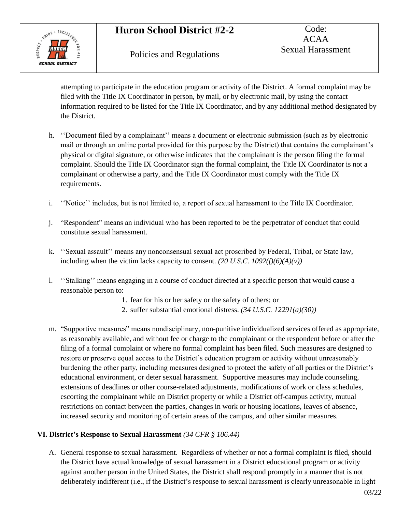# **Huron School District #2-2** Code:



attempting to participate in the education program or activity of the District. A formal complaint may be filed with the Title IX Coordinator in person, by mail, or by electronic mail, by using the contact information required to be listed for the Title IX Coordinator, and by any additional method designated by the District.

- h. ''Document filed by a complainant'' means a document or electronic submission (such as by electronic mail or through an online portal provided for this purpose by the District) that contains the complainant's physical or digital signature, or otherwise indicates that the complainant is the person filing the formal complaint. Should the Title IX Coordinator sign the formal complaint, the Title IX Coordinator is not a complainant or otherwise a party, and the Title IX Coordinator must comply with the Title IX requirements.
- i. ''Notice'' includes, but is not limited to, a report of sexual harassment to the Title IX Coordinator.
- j. "Respondent" means an individual who has been reported to be the perpetrator of conduct that could constitute sexual harassment.
- k. ''Sexual assault'' means any nonconsensual sexual act proscribed by Federal, Tribal, or State law, including when the victim lacks capacity to consent.  $(20 \text{ U.S. C. } 1092(f)(6)(A)(v))$
- l. ''Stalking'' means engaging in a course of conduct directed at a specific person that would cause a reasonable person to:
	- 1. fear for his or her safety or the safety of others; or
	- 2. suffer substantial emotional distress. *(34 U.S.C. 12291(a)(30))*
- m. "Supportive measures" means nondisciplinary, non-punitive individualized services offered as appropriate, as reasonably available, and without fee or charge to the complainant or the respondent before or after the filing of a formal complaint or where no formal complaint has been filed. Such measures are designed to restore or preserve equal access to the District's education program or activity without unreasonably burdening the other party, including measures designed to protect the safety of all parties or the District's educational environment, or deter sexual harassment. Supportive measures may include counseling, extensions of deadlines or other course-related adjustments, modifications of work or class schedules, escorting the complainant while on District property or while a District off-campus activity, mutual restrictions on contact between the parties, changes in work or housing locations, leaves of absence, increased security and monitoring of certain areas of the campus, and other similar measures.

#### **VI. District's Response to Sexual Harassment** *(34 CFR § 106.44)*

A. General response to sexual harassment. Regardless of whether or not a formal complaint is filed, should the District have actual knowledge of sexual harassment in a District educational program or activity against another person in the United States, the District shall respond promptly in a manner that is not deliberately indifferent (i.e., if the District's response to sexual harassment is clearly unreasonable in light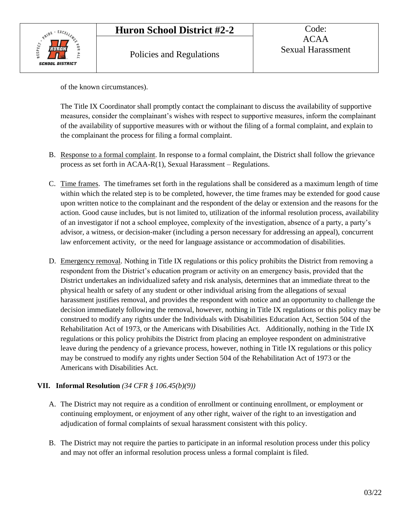

of the known circumstances).

The Title IX Coordinator shall promptly contact the complainant to discuss the availability of supportive measures, consider the complainant's wishes with respect to supportive measures, inform the complainant of the availability of supportive measures with or without the filing of a formal complaint, and explain to the complainant the process for filing a formal complaint.

- B. Response to a formal complaint. In response to a formal complaint, the District shall follow the grievance process as set forth in ACAA-R(1), Sexual Harassment – Regulations.
- C. Time frames. The timeframes set forth in the regulations shall be considered as a maximum length of time within which the related step is to be completed, however, the time frames may be extended for good cause upon written notice to the complainant and the respondent of the delay or extension and the reasons for the action. Good cause includes, but is not limited to, utilization of the informal resolution process, availability of an investigator if not a school employee, complexity of the investigation, absence of a party, a party's advisor, a witness, or decision-maker (including a person necessary for addressing an appeal), concurrent law enforcement activity, or the need for language assistance or accommodation of disabilities.
- D. Emergency removal. Nothing in Title IX regulations or this policy prohibits the District from removing a respondent from the District's education program or activity on an emergency basis, provided that the District undertakes an individualized safety and risk analysis, determines that an immediate threat to the physical health or safety of any student or other individual arising from the allegations of sexual harassment justifies removal, and provides the respondent with notice and an opportunity to challenge the decision immediately following the removal, however, nothing in Title IX regulations or this policy may be construed to modify any rights under the Individuals with Disabilities Education Act, Section 504 of the Rehabilitation Act of 1973, or the Americans with Disabilities Act. Additionally, nothing in the Title IX regulations or this policy prohibits the District from placing an employee respondent on administrative leave during the pendency of a grievance process, however, nothing in Title IX regulations or this policy may be construed to modify any rights under Section 504 of the Rehabilitation Act of 1973 or the Americans with Disabilities Act.

# **VII. Informal Resolution** *(34 CFR § 106.45(b)(9))*

- A. The District may not require as a condition of enrollment or continuing enrollment, or employment or continuing employment, or enjoyment of any other right, waiver of the right to an investigation and adjudication of formal complaints of sexual harassment consistent with this policy.
- B. The District may not require the parties to participate in an informal resolution process under this policy and may not offer an informal resolution process unless a formal complaint is filed.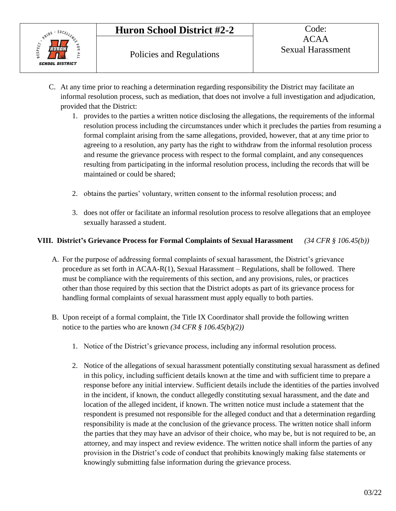

- C. At any time prior to reaching a determination regarding responsibility the District may facilitate an informal resolution process, such as mediation, that does not involve a full investigation and adjudication, provided that the District:
	- 1. provides to the parties a written notice disclosing the allegations, the requirements of the informal resolution process including the circumstances under which it precludes the parties from resuming a formal complaint arising from the same allegations, provided, however, that at any time prior to agreeing to a resolution, any party has the right to withdraw from the informal resolution process and resume the grievance process with respect to the formal complaint, and any consequences resulting from participating in the informal resolution process, including the records that will be maintained or could be shared;
	- 2. obtains the parties' voluntary, written consent to the informal resolution process; and
	- 3. does not offer or facilitate an informal resolution process to resolve allegations that an employee sexually harassed a student.

# **VIII. District's Grievance Process for Formal Complaints of Sexual Harassment** *(34 CFR § 106.45(b))*

- A. For the purpose of addressing formal complaints of sexual harassment, the District's grievance procedure as set forth in ACAA-R(1), Sexual Harassment – Regulations, shall be followed. There must be compliance with the requirements of this section, and any provisions, rules, or practices other than those required by this section that the District adopts as part of its grievance process for handling formal complaints of sexual harassment must apply equally to both parties.
- B. Upon receipt of a formal complaint, the Title IX Coordinator shall provide the following written notice to the parties who are known *(34 CFR § 106.45(b)(2))*
	- 1. Notice of the District's grievance process, including any informal resolution process.
	- 2. Notice of the allegations of sexual harassment potentially constituting sexual harassment as defined in this policy, including sufficient details known at the time and with sufficient time to prepare a response before any initial interview. Sufficient details include the identities of the parties involved in the incident, if known, the conduct allegedly constituting sexual harassment, and the date and location of the alleged incident, if known. The written notice must include a statement that the respondent is presumed not responsible for the alleged conduct and that a determination regarding responsibility is made at the conclusion of the grievance process. The written notice shall inform the parties that they may have an advisor of their choice, who may be, but is not required to be, an attorney, and may inspect and review evidence. The written notice shall inform the parties of any provision in the District's code of conduct that prohibits knowingly making false statements or knowingly submitting false information during the grievance process.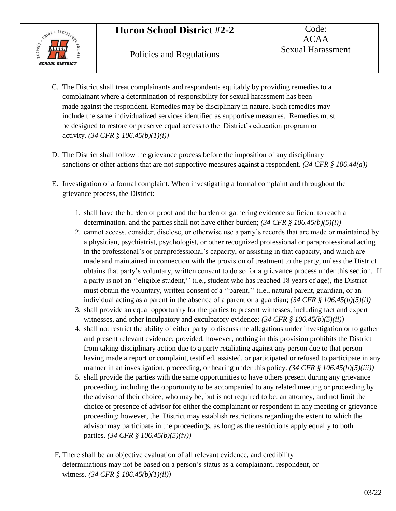

- C. The District shall treat complainants and respondents equitably by providing remedies to a complainant where a determination of responsibility for sexual harassment has been made against the respondent. Remedies may be disciplinary in nature. Such remedies may include the same individualized services identified as supportive measures. Remedies must be designed to restore or preserve equal access to the District's education program or activity. *(34 CFR § 106.45(b)(1)(i))*
- D. The District shall follow the grievance process before the imposition of any disciplinary sanctions or other actions that are not supportive measures against a respondent. *(34 CFR § 106.44(a))*
- E. Investigation of a formal complaint. When investigating a formal complaint and throughout the grievance process, the District:
	- 1. shall have the burden of proof and the burden of gathering evidence sufficient to reach a determination, and the parties shall not have either burden; *(34 CFR § 106.45(b)(5)(i))*
	- 2. cannot access, consider, disclose, or otherwise use a party's records that are made or maintained by a physician, psychiatrist, psychologist, or other recognized professional or paraprofessional acting in the professional's or paraprofessional's capacity, or assisting in that capacity, and which are made and maintained in connection with the provision of treatment to the party, unless the District obtains that party's voluntary, written consent to do so for a grievance process under this section. If a party is not an ''eligible student,'' (i.e., student who has reached 18 years of age), the District must obtain the voluntary, written consent of a ''parent,'' (i.e., natural parent, guardian, or an individual acting as a parent in the absence of a parent or a guardian;  $(34 \text{ CFR} \text{ s } 106.45(b)(5)(i))$
	- 3. shall provide an equal opportunity for the parties to present witnesses, including fact and expert witnesses, and other inculpatory and exculpatory evidence; *(34 CFR § 106.45(b)(5)(ii))*
	- 4. shall not restrict the ability of either party to discuss the allegations under investigation or to gather and present relevant evidence; provided, however, nothing in this provision prohibits the District from taking disciplinary action due to a party retaliating against any person due to that person having made a report or complaint, testified, assisted, or participated or refused to participate in any manner in an investigation, proceeding, or hearing under this policy. *(34 CFR § 106.45(b)(5)(iii))*
	- 5. shall provide the parties with the same opportunities to have others present during any grievance proceeding, including the opportunity to be accompanied to any related meeting or proceeding by the advisor of their choice, who may be, but is not required to be, an attorney, and not limit the choice or presence of advisor for either the complainant or respondent in any meeting or grievance proceeding; however, the District may establish restrictions regarding the extent to which the advisor may participate in the proceedings, as long as the restrictions apply equally to both parties. *(34 CFR § 106.45(b)(5)(iv))*
- F. There shall be an objective evaluation of all relevant evidence, and credibility determinations may not be based on a person's status as a complainant, respondent, or witness. *(34 CFR § 106.45(b)(1)(ii))*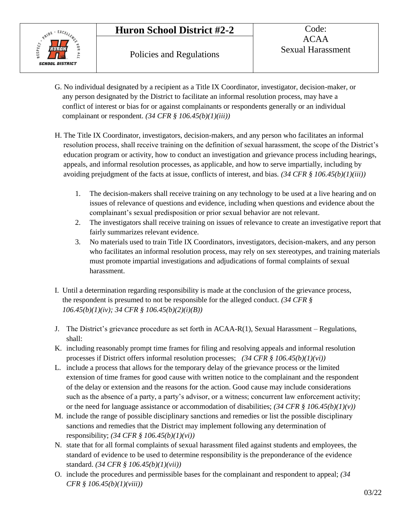

- G. No individual designated by a recipient as a Title IX Coordinator, investigator, decision-maker, or any person designated by the District to facilitate an informal resolution process, may have a conflict of interest or bias for or against complainants or respondents generally or an individual complainant or respondent. *(34 CFR § 106.45(b)(1)(iii))*
- H. The Title IX Coordinator, investigators, decision-makers, and any person who facilitates an informal resolution process, shall receive training on the definition of sexual harassment, the scope of the District's education program or activity, how to conduct an investigation and grievance process including hearings, appeals, and informal resolution processes, as applicable, and how to serve impartially, including by avoiding prejudgment of the facts at issue, conflicts of interest, and bias. *(34 CFR § 106.45(b)(1)(iii))*
	- 1. The decision-makers shall receive training on any technology to be used at a live hearing and on issues of relevance of questions and evidence, including when questions and evidence about the complainant's sexual predisposition or prior sexual behavior are not relevant.
	- 2. The investigators shall receive training on issues of relevance to create an investigative report that fairly summarizes relevant evidence.
	- 3. No materials used to train Title IX Coordinators, investigators, decision-makers, and any person who facilitates an informal resolution process, may rely on sex stereotypes, and training materials must promote impartial investigations and adjudications of formal complaints of sexual harassment.
- I. Until a determination regarding responsibility is made at the conclusion of the grievance process, the respondent is presumed to not be responsible for the alleged conduct. *(34 CFR § 106.45(b)(1)(iv); 34 CFR § 106.45(b)(2)(i)(B))*
- J. The District's grievance procedure as set forth in ACAA-R(1), Sexual Harassment Regulations, shall:
- K. including reasonably prompt time frames for filing and resolving appeals and informal resolution processes if District offers informal resolution processes; *(34 CFR § 106.45(b)(1)(vi))*
- L. include a process that allows for the temporary delay of the grievance process or the limited extension of time frames for good cause with written notice to the complainant and the respondent of the delay or extension and the reasons for the action. Good cause may include considerations such as the absence of a party, a party's advisor, or a witness; concurrent law enforcement activity; or the need for language assistance or accommodation of disabilities; *(34 CFR § 106.45(b)(1)(v))*
- M. include the range of possible disciplinary sanctions and remedies or list the possible disciplinary sanctions and remedies that the District may implement following any determination of responsibility; *(34 CFR § 106.45(b)(1)(vi))*
- N. state that for all formal complaints of sexual harassment filed against students and employees, the standard of evidence to be used to determine responsibility is the preponderance of the evidence standard. *(34 CFR § 106.45(b)(1)(vii))*
- O. include the procedures and permissible bases for the complainant and respondent to appeal; *(34 CFR § 106.45(b)(1)(viii))*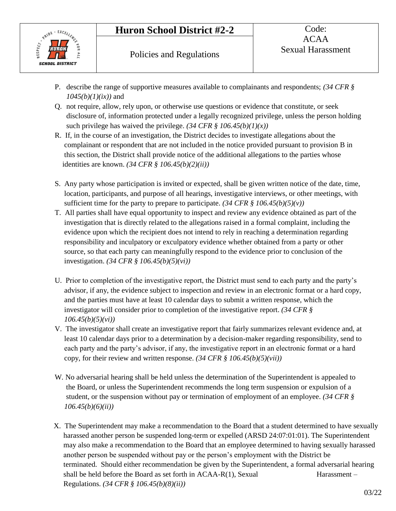

- P. describe the range of supportive measures available to complainants and respondents; *(34 CFR § 1045(b)(1)(ix))* and
- Q. not require, allow, rely upon, or otherwise use questions or evidence that constitute, or seek disclosure of, information protected under a legally recognized privilege, unless the person holding such privilege has waived the privilege.  $(34 \text{ CFR} \text{ s } 106.45(b)(1)(x))$
- R. If, in the course of an investigation, the District decides to investigate allegations about the complainant or respondent that are not included in the notice provided pursuant to provision B in this section, the District shall provide notice of the additional allegations to the parties whose identities are known. *(34 CFR § 106.45(b)(2)(ii))*
- S. Any party whose participation is invited or expected, shall be given written notice of the date, time, location, participants, and purpose of all hearings, investigative interviews, or other meetings, with sufficient time for the party to prepare to participate.  $(34 \text{ CFR} \text{ s } 106.45(b)(5)(v))$
- T. All parties shall have equal opportunity to inspect and review any evidence obtained as part of the investigation that is directly related to the allegations raised in a formal complaint, including the evidence upon which the recipient does not intend to rely in reaching a determination regarding responsibility and inculpatory or exculpatory evidence whether obtained from a party or other source, so that each party can meaningfully respond to the evidence prior to conclusion of the investigation. *(34 CFR § 106.45(b)(5)(vi))*
- U. Prior to completion of the investigative report, the District must send to each party and the party's advisor, if any, the evidence subject to inspection and review in an electronic format or a hard copy, and the parties must have at least 10 calendar days to submit a written response, which the investigator will consider prior to completion of the investigative report. *(34 CFR § 106.45(b)(5)(vi))*
- V. The investigator shall create an investigative report that fairly summarizes relevant evidence and, at least 10 calendar days prior to a determination by a decision-maker regarding responsibility, send to each party and the party's advisor, if any, the investigative report in an electronic format or a hard copy, for their review and written response. *(34 CFR § 106.45(b)(5)(vii))*
- W. No adversarial hearing shall be held unless the determination of the Superintendent is appealed to the Board, or unless the Superintendent recommends the long term suspension or expulsion of a student, or the suspension without pay or termination of employment of an employee. *(34 CFR § 106.45(b)(6)(ii))*
- X. The Superintendent may make a recommendation to the Board that a student determined to have sexually harassed another person be suspended long-term or expelled (ARSD 24:07:01:01). The Superintendent may also make a recommendation to the Board that an employee determined to having sexually harassed another person be suspended without pay or the person's employment with the District be terminated. Should either recommendation be given by the Superintendent, a formal adversarial hearing shall be held before the Board as set forth in  $ACAA-R(1)$ , Sexual Harassment – Regulations. *(34 CFR § 106.45(b)(8)(ii))*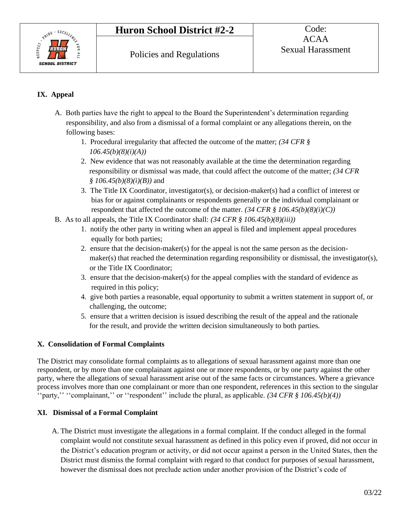

# **IX. Appeal**

- A. Both parties have the right to appeal to the Board the Superintendent's determination regarding responsibility, and also from a dismissal of a formal complaint or any allegations therein, on the following bases:
	- 1. Procedural irregularity that affected the outcome of the matter; *(34 CFR § 106.45(b)(8)(i)(A))*
	- 2. New evidence that was not reasonably available at the time the determination regarding responsibility or dismissal was made, that could affect the outcome of the matter; *(34 CFR § 106.45(b)(8)(i)(B))* and
	- 3. The Title IX Coordinator, investigator(s), or decision-maker(s) had a conflict of interest or bias for or against complainants or respondents generally or the individual complainant or respondent that affected the outcome of the matter.  $(34 \text{ CFR} \text{ s } 106.45(b)(8)(i)(C))$
- B. As to all appeals, the Title IX Coordinator shall: *(34 CFR § 106.45(b)(8)(iii))*
	- 1. notify the other party in writing when an appeal is filed and implement appeal procedures equally for both parties;
	- 2. ensure that the decision-maker(s) for the appeal is not the same person as the decisionmaker(s) that reached the determination regarding responsibility or dismissal, the investigator(s), or the Title IX Coordinator;
	- 3. ensure that the decision-maker(s) for the appeal complies with the standard of evidence as required in this policy;
	- 4. give both parties a reasonable, equal opportunity to submit a written statement in support of, or challenging, the outcome;
	- 5. ensure that a written decision is issued describing the result of the appeal and the rationale for the result, and provide the written decision simultaneously to both parties.

# **X. Consolidation of Formal Complaints**

The District may consolidate formal complaints as to allegations of sexual harassment against more than one respondent, or by more than one complainant against one or more respondents, or by one party against the other party, where the allegations of sexual harassment arise out of the same facts or circumstances. Where a grievance process involves more than one complainant or more than one respondent, references in this section to the singular ''party,'' ''complainant,'' or ''respondent'' include the plural, as applicable. *(34 CFR § 106.45(b)(4))*

#### **XI. Dismissal of a Formal Complaint**

A. The District must investigate the allegations in a formal complaint. If the conduct alleged in the formal complaint would not constitute sexual harassment as defined in this policy even if proved, did not occur in the District's education program or activity, or did not occur against a person in the United States, then the District must dismiss the formal complaint with regard to that conduct for purposes of sexual harassment, however the dismissal does not preclude action under another provision of the District's code of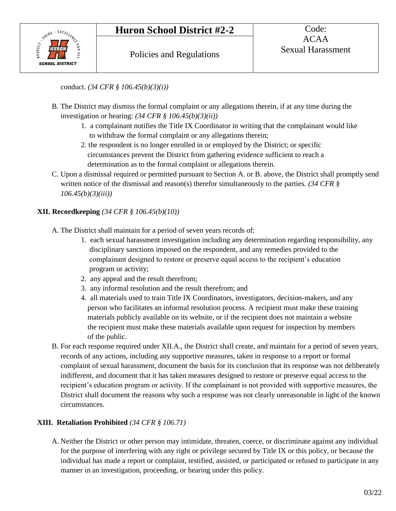

conduct. *(34 CFR § 106.45(b)(3)(i))*

- B. The District may dismiss the formal complaint or any allegations therein, if at any time during the investigation or hearing: *(34 CFR § 106.45(b)(3)(ii))*
	- 1. a complainant notifies the Title IX Coordinator in writing that the complainant would like to withdraw the formal complaint or any allegations therein;
	- 2. the respondent is no longer enrolled in or employed by the District; or specific circumstances prevent the District from gathering evidence sufficient to reach a determination as to the formal complaint or allegations therein.
- C. Upon a dismissal required or permitted pursuant to Section A. or B. above, the District shall promptly send written notice of the dismissal and reason(s) therefor simultaneously to the parties. *(34 CFR § 106.45(b)(3)(iii))*

# **XII. Recordkeeping** *(34 CFR § 106.45(b)(10))*

A. The District shall maintain for a period of seven years records of:

- 1. each sexual harassment investigation including any determination regarding responsibility, any disciplinary sanctions imposed on the respondent, and any remedies provided to the complainant designed to restore or preserve equal access to the recipient's education program or activity;
- 2. any appeal and the result therefrom;
- 3. any informal resolution and the result therefrom; and
- 4. all materials used to train Title IX Coordinators, investigators, decision-makers, and any person who facilitates an informal resolution process. A recipient must make these training materials publicly available on its website, or if the recipient does not maintain a website the recipient must make these materials available upon request for inspection by members of the public.
- B. For each response required under XII.A., the District shall create, and maintain for a period of seven years, records of any actions, including any supportive measures, taken in response to a report or formal complaint of sexual harassment, document the basis for its conclusion that its response was not deliberately indifferent, and document that it has taken measures designed to restore or preserve equal access to the recipient's education program or activity. If the complainant is not provided with supportive measures, the District shall document the reasons why such a response was not clearly unreasonable in light of the known circumstances.

# **XIII. Retaliation Prohibited** *(34 CFR § 106.71)*

A. Neither the District or other person may intimidate, threaten, coerce, or discriminate against any individual for the purpose of interfering with any right or privilege secured by Title IX or this policy, or because the individual has made a report or complaint, testified, assisted, or participated or refused to participate in any manner in an investigation, proceeding, or hearing under this policy.